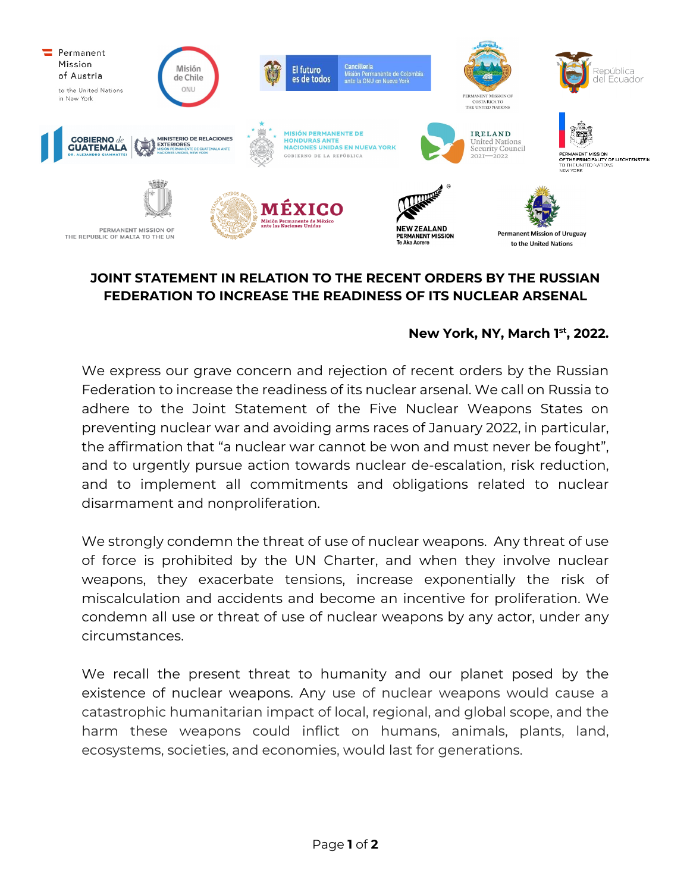

## **JOINT STATEMENT IN RELATION TO THE RECENT ORDERS BY THE RUSSIAN FEDERATION TO INCREASE THE READINESS OF ITS NUCLEAR ARSENAL**

## **New York, NY, March 1st, 2022.**

We express our grave concern and rejection of recent orders by the Russian Federation to increase the readiness of its nuclear arsenal. We call on Russia to adhere to the Joint Statement of the Five Nuclear Weapons States on preventing nuclear war and avoiding arms races of January 2022, in particular, the affirmation that "a nuclear war cannot be won and must never be fought", and to urgently pursue action towards nuclear de-escalation, risk reduction, and to implement all commitments and obligations related to nuclear disarmament and nonproliferation.

We strongly condemn the threat of use of nuclear weapons. Any threat of use of force is prohibited by the UN Charter, and when they involve nuclear weapons, they exacerbate tensions, increase exponentially the risk of miscalculation and accidents and become an incentive for proliferation. We condemn all use or threat of use of nuclear weapons by any actor, under any circumstances.

We recall the present threat to humanity and our planet posed by the existence of nuclear weapons. Any use of nuclear weapons would cause a catastrophic humanitarian impact of local, regional, and global scope, and the harm these weapons could inflict on humans, animals, plants, land, ecosystems, societies, and economies, would last for generations.